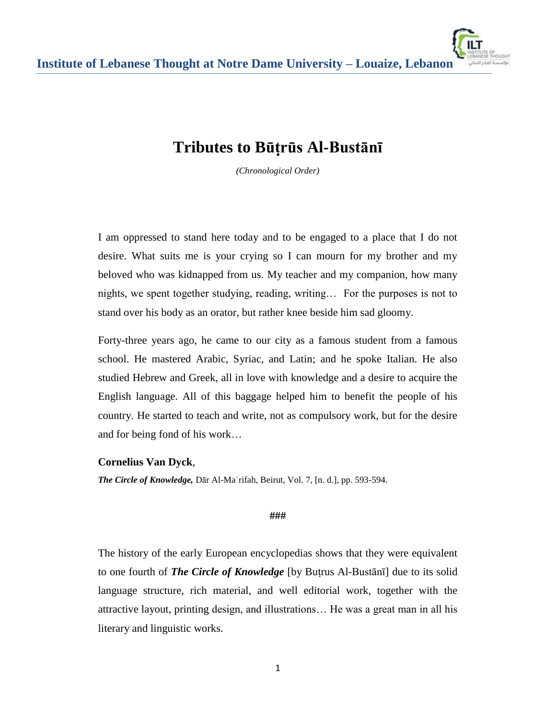# **Tributes to Būṭrūs Al-Bustānī**

*(Chronological Order)*

I am oppressed to stand here today and to be engaged to a place that I do not desire. What suits me is your crying so I can mourn for my brother and my beloved who was kidnapped from us. My teacher and my companion, how many nights, we spent together studying, reading, writing… For the purposes is not to stand over his body as an orator, but rather knee beside him sad gloomy.

Forty-three years ago, he came to our city as a famous student from a famous school. He mastered Arabic, Syriac, and Latin; and he spoke Italian. He also studied Hebrew and Greek, all in love with knowledge and a desire to acquire the English language. All of this baggage helped him to benefit the people of his country. He started to teach and write, not as compulsory work, but for the desire and for being fond of his work…

# **Cornelius Van Dyck**,

*The Circle of Knowledge,* Dār Al-Maʿrifah, Beirut, Vol. 7, [n. d.], pp. 593-594.

**###** 

The history of the early European encyclopedias shows that they were equivalent to one fourth of *The Circle of Knowledge* [by Buṭrus Al-Bustānī] due to its solid language structure, rich material, and well editorial work, together with the attractive layout, printing design, and illustrations… He was a great man in all his literary and linguistic works.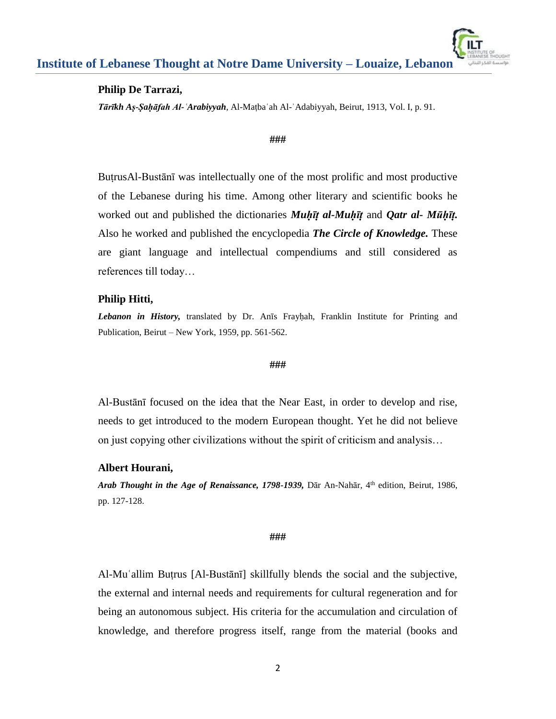#### **Institute of Lebanese Thought at Notre Dame University – Louaize, Lebanon** براسسة الفكر الليناز

## **Philip De Tarrazi,**

*Tārīkh Aṣ-Ṣaḥāfah Al-ʿArabiyyah*, Al-Maṭbaʿah Al-ʾAdabiyyah, Beirut, 1913, Vol. I, p. 91.

#### **###**

BuṭrusAl-Bustānī was intellectually one of the most prolific and most productive of the Lebanese during his time. Among other literary and scientific books he worked out and published the dictionaries *Muḥῑṭ al-Muḥῑṭ* and *Qatr al- Mūḥῑṭ.* Also he worked and published the encyclopedia *The Circle of Knowledge.* These are giant language and intellectual compendiums and still considered as references till today…

# **Philip Hitti,**

Lebanon in History, translated by Dr. Anīs Frayḥah, Franklin Institute for Printing and Publication, Beirut – New York, 1959, pp. 561-562.

#### **###**

Al-Bustānī focused on the idea that the Near East, in order to develop and rise, needs to get introduced to the modern European thought. Yet he did not believe on just copying other civilizations without the spirit of criticism and analysis…

#### **Albert Hourani,**

*Arab Thought in the Age of Renaissance, 1798-1939*, Dār An-Nahār, 4<sup>th</sup> edition, Beirut, 1986, pp. 127-128.

#### **###**

Al-Muʿallim Buṭrus [Al-Bustānī] skillfully blends the social and the subjective, the external and internal needs and requirements for cultural regeneration and for being an autonomous subject. His criteria for the accumulation and circulation of knowledge, and therefore progress itself, range from the material (books and